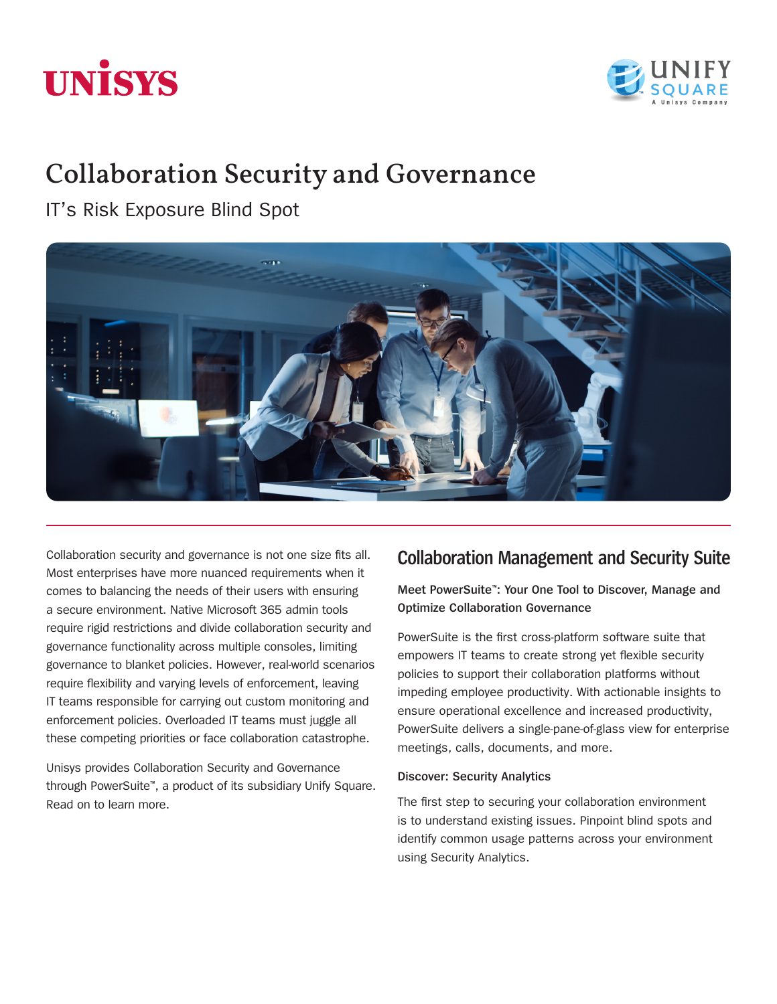# **UNISYS**



# Collaboration Security and Governance

IT's Risk Exposure Blind Spot



Collaboration security and governance is not one size fits all. Most enterprises have more nuanced requirements when it comes to balancing the needs of their users with ensuring a secure environment. Native Microsoft 365 admin tools require rigid restrictions and divide collaboration security and governance functionality across multiple consoles, limiting governance to blanket policies. However, real-world scenarios require flexibility and varying levels of enforcement, leaving IT teams responsible for carrying out custom monitoring and enforcement policies. Overloaded IT teams must juggle all these competing priorities or face collaboration catastrophe.

Unisys provides Collaboration Security and Governance through PowerSuite™, a product of its subsidiary Unify Square. Read on to learn more.

## **Collaboration Management and Security Suite**

#### **Meet PowerSuite**™**: Your One Tool to Discover, Manage and Optimize Collaboration Governance**

PowerSuite is the first cross-platform software suite that empowers IT teams to create strong yet flexible security policies to support their collaboration platforms without impeding employee productivity. With actionable insights to ensure operational excellence and increased productivity, PowerSuite delivers a single-pane-of-glass view for enterprise meetings, calls, documents, and more.

#### **Discover: Security Analytics**

The first step to securing your collaboration environment is to understand existing issues. Pinpoint blind spots and identify common usage patterns across your environment using Security Analytics.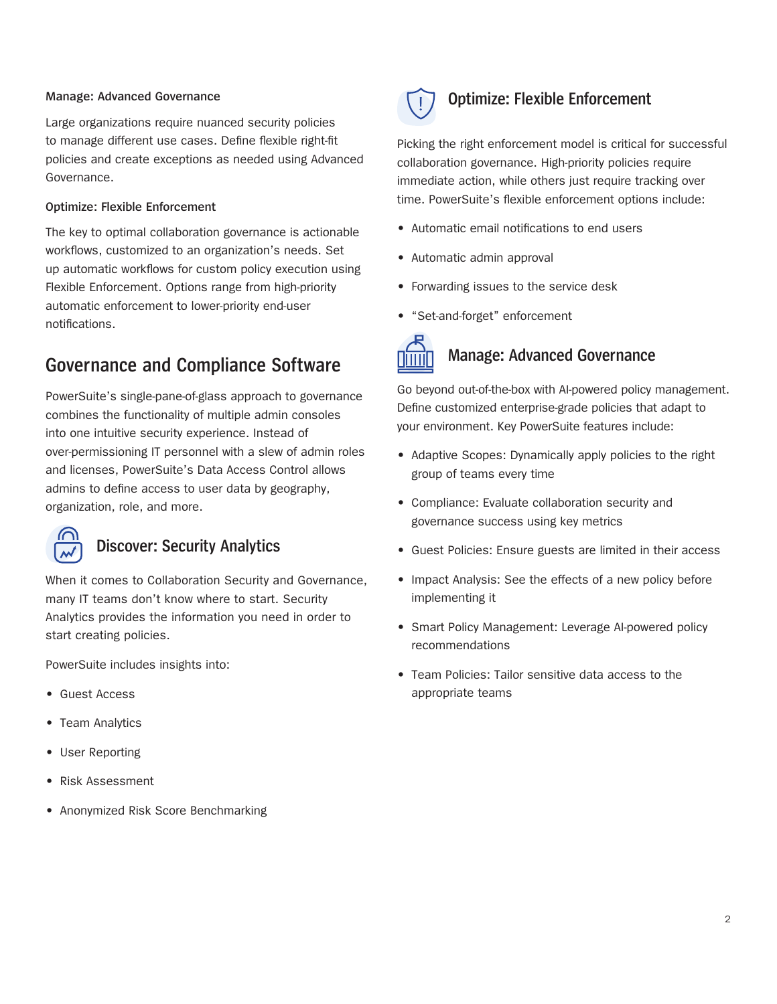#### **Manage: Advanced Governance**

Large organizations require nuanced security policies to manage different use cases. Define flexible right-fit policies and create exceptions as needed using Advanced Governance.

#### **Optimize: Flexible Enforcement**

The key to optimal collaboration governance is actionable workflows, customized to an organization's needs. Set up automatic workflows for custom policy execution using Flexible Enforcement. Options range from high-priority automatic enforcement to lower-priority end-user notifications.

### **Governance and Compliance Software**

PowerSuite's single-pane-of-glass approach to governance combines the functionality of multiple admin consoles into one intuitive security experience. Instead of over-permissioning IT personnel with a slew of admin roles and licenses, PowerSuite's Data Access Control allows admins to define access to user data by geography, organization, role, and more.



#### **Discover: Security Analytics**

When it comes to Collaboration Security and Governance, many IT teams don't know where to start. Security Analytics provides the information you need in order to start creating policies.

PowerSuite includes insights into:

- Guest Access
- Team Analytics
- User Reporting
- Risk Assessment
- Anonymized Risk Score Benchmarking



#### **Optimize: Flexible Enforcement**

Picking the right enforcement model is critical for successful collaboration governance. High-priority policies require immediate action, while others just require tracking over time. PowerSuite's flexible enforcement options include:

- Automatic email notifications to end users
- Automatic admin approval
- Forwarding issues to the service desk
- "Set-and-forget" enforcement



#### **Manage: Advanced Governance**

Go beyond out-of-the-box with AI-powered policy management. Define customized enterprise-grade policies that adapt to your environment. Key PowerSuite features include:

- Adaptive Scopes: Dynamically apply policies to the right group of teams every time
- Compliance: Evaluate collaboration security and governance success using key metrics
- Guest Policies: Ensure guests are limited in their access
- Impact Analysis: See the effects of a new policy before implementing it
- Smart Policy Management: Leverage AI-powered policy recommendations
- Team Policies: Tailor sensitive data access to the appropriate teams